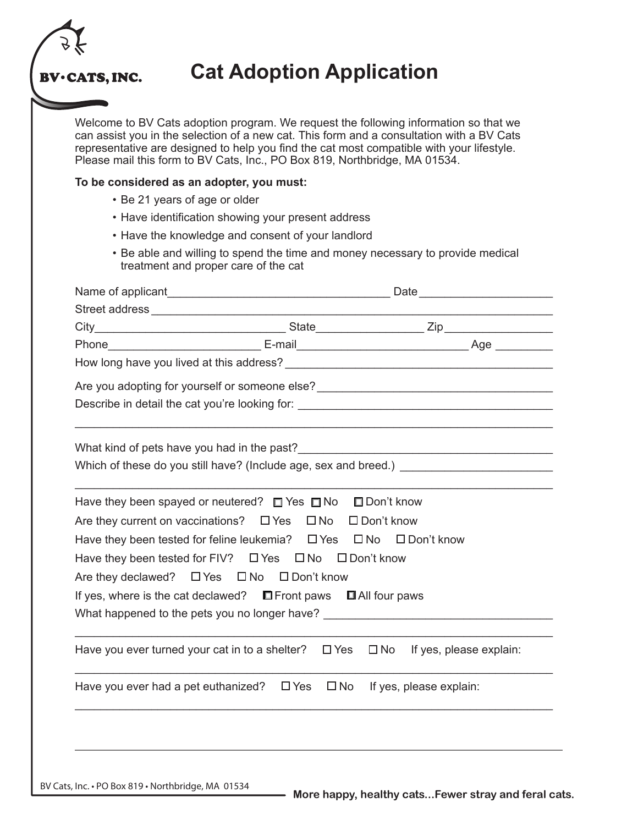

## **Cat Adoption Application**

Welcome to BV Cats adoption program. We request the following information so that we can assist you in the selection of a new cat. This form and a consultation with a BV Cats representative are designed to help you find the cat most compatible with your lifestyle. Please mail this form to BV Cats, Inc., PO Box 819, Northbridge, MA 01534.

## **To be considered as an adopter, you must:**

- Be 21 years of age or older
- Have identification showing your present address
- Have the knowledge and consent of your landlord
- Be able and willing to spend the time and money necessary to provide medical treatment and proper care of the cat

|                                                                                                                                                                                                                                                                                                                                                                                                                                                                                                      |  | Are you adopting for yourself or someone else? __________________________________ |  |  |
|------------------------------------------------------------------------------------------------------------------------------------------------------------------------------------------------------------------------------------------------------------------------------------------------------------------------------------------------------------------------------------------------------------------------------------------------------------------------------------------------------|--|-----------------------------------------------------------------------------------|--|--|
|                                                                                                                                                                                                                                                                                                                                                                                                                                                                                                      |  | Describe in detail the cat you're looking for: __________________________________ |  |  |
|                                                                                                                                                                                                                                                                                                                                                                                                                                                                                                      |  |                                                                                   |  |  |
| Have they been spayed or neutered? $\Box$ Yes $\Box$ No $\Box$ Don't know<br>Are they current on vaccinations? □ Yes □ No □ Don't know<br>Have they been tested for feline leukemia? □ Yes □ No □ Don't know<br>Have they been tested for FIV? □ Yes □ No □ Don't know<br>Are they declawed? $\Box$ Yes $\Box$ No $\Box$ Don't know<br>If yes, where is the cat declawed? $\Box$ Front paws $\Box$ All four paws<br>What happened to the pets you no longer have? __________________________________ |  |                                                                                   |  |  |
| Have you ever turned your cat in to a shelter? $\Box$ Yes                                                                                                                                                                                                                                                                                                                                                                                                                                            |  | $\Box$ No If yes, please explain:                                                 |  |  |
| Have you ever had a pet euthanized? $\Box$ Yes $\Box$ No If yes, please explain:                                                                                                                                                                                                                                                                                                                                                                                                                     |  |                                                                                   |  |  |
|                                                                                                                                                                                                                                                                                                                                                                                                                                                                                                      |  |                                                                                   |  |  |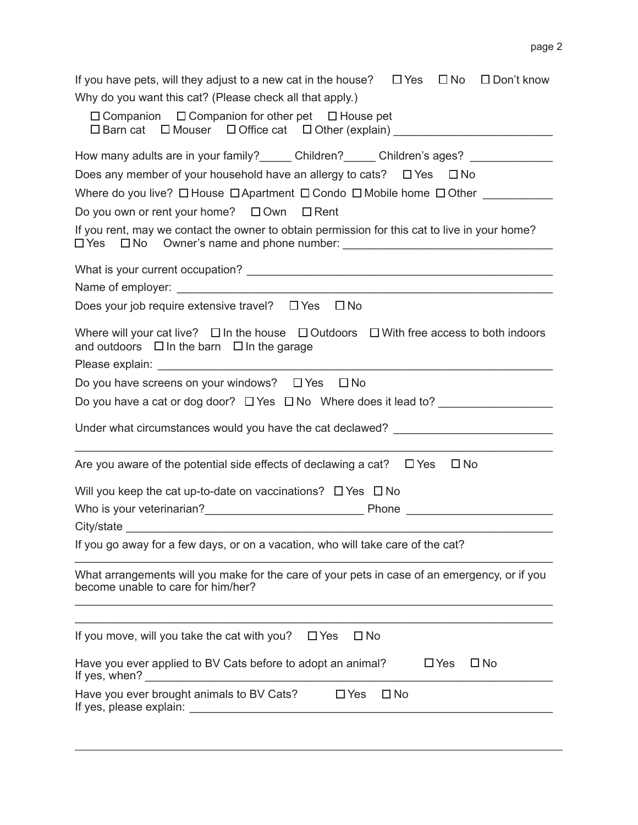| If you have pets, will they adjust to a new cat in the house? $\Box$ Yes $\Box$ No $\Box$ Don't know                                                                                                                                                                                                      |  |  |  |  |                                                                                                                                |
|-----------------------------------------------------------------------------------------------------------------------------------------------------------------------------------------------------------------------------------------------------------------------------------------------------------|--|--|--|--|--------------------------------------------------------------------------------------------------------------------------------|
| Why do you want this cat? (Please check all that apply.)                                                                                                                                                                                                                                                  |  |  |  |  |                                                                                                                                |
| $\Box$ Companion $\Box$ Companion for other pet $\Box$ House pet<br>□ Barn cat □ Mouser □ Office cat □ Other (explain) ____________________________                                                                                                                                                       |  |  |  |  |                                                                                                                                |
| How many adults are in your family?_______ Children?______ Children's ages? _____________                                                                                                                                                                                                                 |  |  |  |  |                                                                                                                                |
| Does any member of your household have an allergy to cats? $\Box$ Yes $\Box$ No                                                                                                                                                                                                                           |  |  |  |  |                                                                                                                                |
| Where do you live? $\Box$ House $\Box$ Apartment $\Box$ Condo $\Box$ Mobile home $\Box$ Other<br>Do you own or rent your home? $\Box$ Own $\Box$ Rent                                                                                                                                                     |  |  |  |  |                                                                                                                                |
|                                                                                                                                                                                                                                                                                                           |  |  |  |  | If you rent, may we contact the owner to obtain permission for this cat to live in your home?<br>$\square$ Yes<br>$\square$ No |
|                                                                                                                                                                                                                                                                                                           |  |  |  |  |                                                                                                                                |
|                                                                                                                                                                                                                                                                                                           |  |  |  |  |                                                                                                                                |
| Does your job require extensive travel? □ Yes □ No<br>Where will your cat live? $\Box$ In the house $\Box$ Outdoors $\Box$ With free access to both indoors<br>and outdoors $\Box$ In the barn $\Box$ In the garage                                                                                       |  |  |  |  |                                                                                                                                |
|                                                                                                                                                                                                                                                                                                           |  |  |  |  |                                                                                                                                |
| Do you have screens on your windows? $\Box$ Yes<br>$\square$ No                                                                                                                                                                                                                                           |  |  |  |  |                                                                                                                                |
| Do you have a cat or dog door? $\Box$ Yes $\Box$ No Where does it lead to?                                                                                                                                                                                                                                |  |  |  |  |                                                                                                                                |
| Under what circumstances would you have the cat declawed? ______________________                                                                                                                                                                                                                          |  |  |  |  |                                                                                                                                |
| $\square$ No<br>Are you aware of the potential side effects of declawing a cat? $\Box$ Yes                                                                                                                                                                                                                |  |  |  |  |                                                                                                                                |
| Will you keep the cat up-to-date on vaccinations? $\Box$ Yes $\Box$ No                                                                                                                                                                                                                                    |  |  |  |  |                                                                                                                                |
|                                                                                                                                                                                                                                                                                                           |  |  |  |  |                                                                                                                                |
| City/state                                                                                                                                                                                                                                                                                                |  |  |  |  |                                                                                                                                |
| If you go away for a few days, or on a vacation, who will take care of the cat?                                                                                                                                                                                                                           |  |  |  |  |                                                                                                                                |
| What arrangements will you make for the care of your pets in case of an emergency, or if you<br>become unable to care for him/her?                                                                                                                                                                        |  |  |  |  |                                                                                                                                |
| If you move, will you take the cat with you?<br>$\square$ No<br>$\Box$ Yes                                                                                                                                                                                                                                |  |  |  |  |                                                                                                                                |
| Have you ever applied to BV Cats before to adopt an animal?<br>$\Box$ Yes<br>$\square$ No<br>If yes, when?                                                                                                                                                                                                |  |  |  |  |                                                                                                                                |
| $\Box$ Yes<br>$\square$ No<br>Have you ever brought animals to BV Cats?<br>If yes, please explain: The manufacturer of the set of the set of the set of the set of the set of the set of the set of the set of the set of the set of the set of the set of the set of the set of the set of the set of th |  |  |  |  |                                                                                                                                |
|                                                                                                                                                                                                                                                                                                           |  |  |  |  |                                                                                                                                |